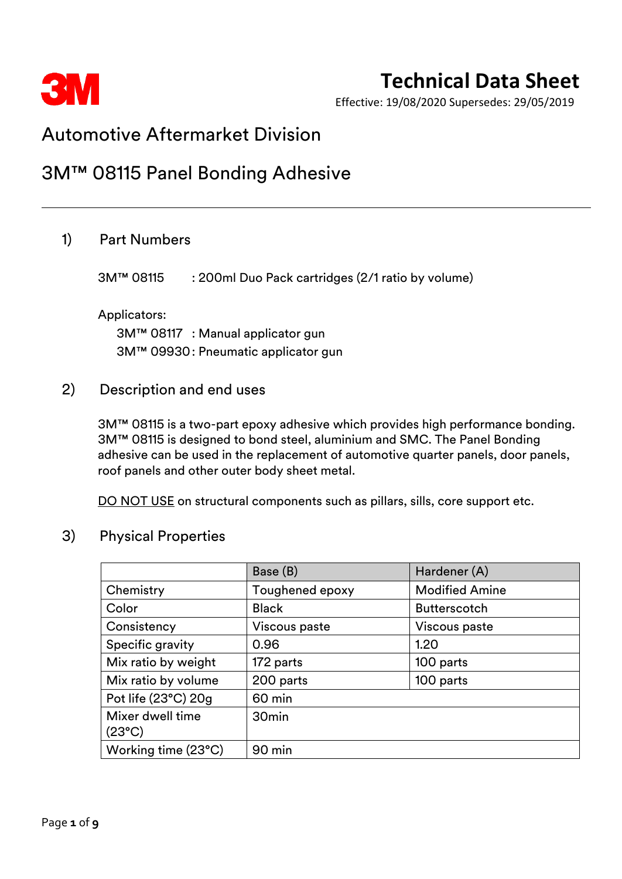

Effective: 19/08/2020 Supersedes: 29/05/2019

## Automotive Aftermarket Division

## 3M™ 08115 Panel Bonding Adhesive

## 1) Part Numbers

3M™ 08115 : 200ml Duo Pack cartridges (2/1 ratio by volume)

#### Applicators:

3M™ 08117 : Manual applicator gun 3M™ 09930: Pneumatic applicator gun

### 2) Description and end uses

3M™ 08115 is a two-part epoxy adhesive which provides high performance bonding. 3M™ 08115 is designed to bond steel, aluminium and SMC. The Panel Bonding adhesive can be used in the replacement of automotive quarter panels, door panels, roof panels and other outer body sheet metal.

DO NOT USE on structural components such as pillars, sills, core support etc.

## 3) Physical Properties

|                     | Base (B)          | Hardener (A)          |
|---------------------|-------------------|-----------------------|
| Chemistry           | Toughened epoxy   | <b>Modified Amine</b> |
| Color               | <b>Black</b>      | <b>Butterscotch</b>   |
| Consistency         | Viscous paste     | Viscous paste         |
| Specific gravity    | 0.96              | 1.20                  |
| Mix ratio by weight | 172 parts         | 100 parts             |
| Mix ratio by volume | 200 parts         | 100 parts             |
| Pot life (23°C) 20g | 60 min            |                       |
| Mixer dwell time    | 30 <sub>min</sub> |                       |
| $(23^{\circ}C)$     |                   |                       |
| Working time (23°C) | 90 min            |                       |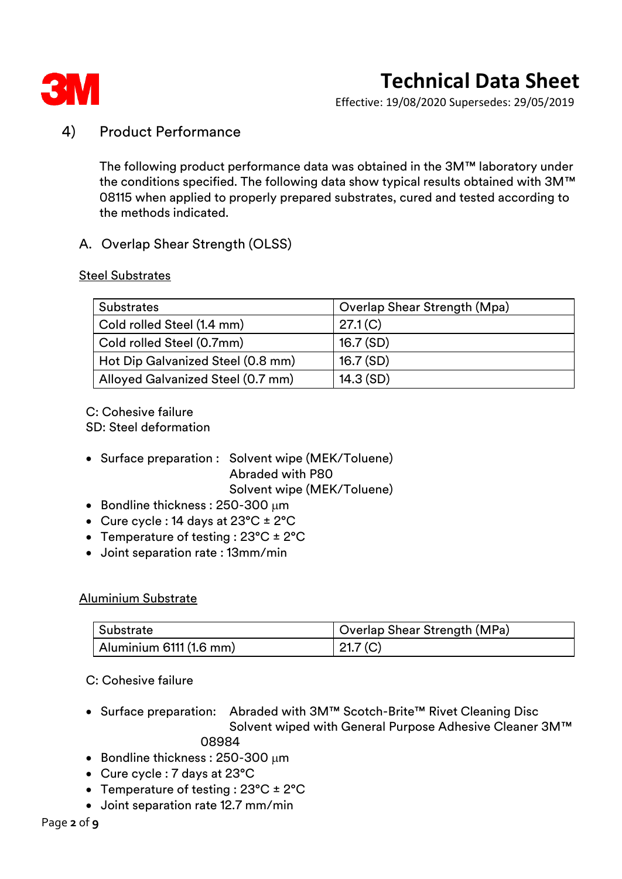

Effective: 19/08/2020 Supersedes: 29/05/2019

## 4) Product Performance

The following product performance data was obtained in the 3M™ laboratory under the conditions specified. The following data show typical results obtained with 3M™ 08115 when applied to properly prepared substrates, cured and tested according to the methods indicated.

### A. Overlap Shear Strength (OLSS)

#### Steel Substrates

| <b>Substrates</b>                 | Overlap Shear Strength (Mpa) |
|-----------------------------------|------------------------------|
| Cold rolled Steel (1.4 mm)        | 27.1(C)                      |
| Cold rolled Steel (0.7mm)         | 16.7(SD)                     |
| Hot Dip Galvanized Steel (0.8 mm) | 16.7(SD)                     |
| Alloyed Galvanized Steel (0.7 mm) | 14.3(SD)                     |

C: Cohesive failure SD: Steel deformation

• Surface preparation : Solvent wipe (MEK/Toluene) Abraded with P80 Solvent wipe (MEK/Toluene)

- Bondline thickness:  $250-300 \mu m$
- Cure cycle : 14 days at 23°C ± 2°C
- Temperature of testing : 23°C ± 2°C
- Joint separation rate : 13mm/min

#### Aluminium Substrate

| Substrate                       | Overlap Shear Strength (MPa) |
|---------------------------------|------------------------------|
| $\vert$ Aluminium 6111 (1.6 mm) | 21.7 <sub>(C)</sub>          |

C: Cohesive failure

• Surface preparation: Abraded with 3M™ Scotch-Brite™ Rivet Cleaning Disc Solvent wiped with General Purpose Adhesive Cleaner 3M™

08984

- Bondline thickness:  $250-300 \mu m$
- Cure cycle : 7 days at 23°C
- Temperature of testing :  $23^{\circ}C \pm 2^{\circ}C$
- Joint separation rate 12.7 mm/min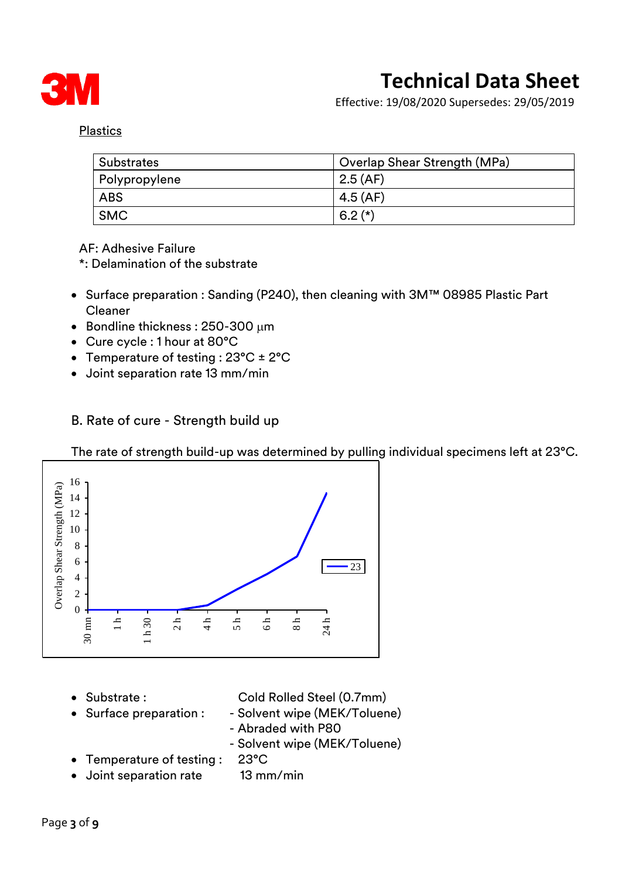

Effective: 19/08/2020 Supersedes: 29/05/2019

Plastics

| <b>Substrates</b> | Overlap Shear Strength (MPa) |
|-------------------|------------------------------|
| Polypropylene     | 2.5(AF)                      |
| <b>ABS</b>        | 4.5(AF)                      |
| <b>SMC</b>        | $6.2(*)$                     |

AF: Adhesive Failure

\*: Delamination of the substrate

- Surface preparation : Sanding (P240), then cleaning with 3M™ 08985 Plastic Part Cleaner
- Bondline thickness: 250-300 um
- Cure cycle : 1 hour at 80°C
- Temperature of testing : 23°C ± 2°C
- Joint separation rate 13 mm/min
- B. Rate of cure Strength build up

The rate of strength build-up was determined by pulling individual specimens left at 23°C.



• Substrate : Cold Rolled Steel (0.7mm)

- Surface preparation : Solvent wipe (MEK/Toluene)
- - Abraded with P80
	- Solvent wipe (MEK/Toluene)
- Temperature of testing : 23°C
- Joint separation rate 13 mm/min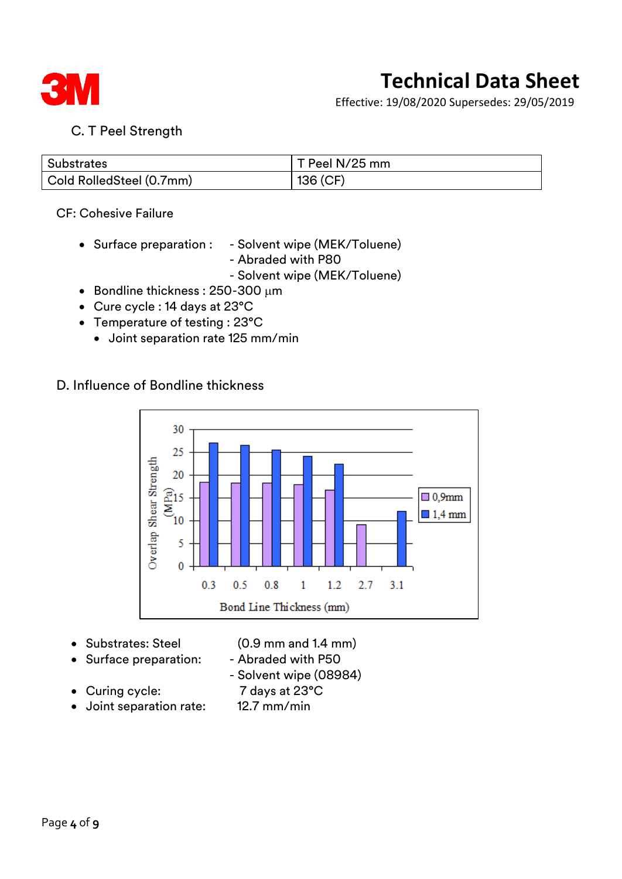

Effective: 19/08/2020 Supersedes: 29/05/2019

## C. T Peel Strength

| <b>Substrates</b>                                | T Peel N/25 mm |
|--------------------------------------------------|----------------|
| $^\text{!}$ Cold RolledSteel (0.7mm) $^\text{!}$ | 136 (CF)       |

#### CF: Cohesive Failure

- Surface preparation : Solvent wipe (MEK/Toluene)
	- Abraded with P80
	- Solvent wipe (MEK/Toluene)
- Bondline thickness:  $250-300 \mu m$
- Cure cycle : 14 days at 23°C
- Temperature of testing : 23°C
	- Joint separation rate 125 mm/min

### D. Influence of Bondline thickness



- 
- Substrates: Steel (0.9 mm and 1.4 mm)
- Surface preparation: Abraded with P50
- - Solvent wipe (08984)
- Curing cycle: 7 days at 23°C
- Joint separation rate: 12.7 mm/min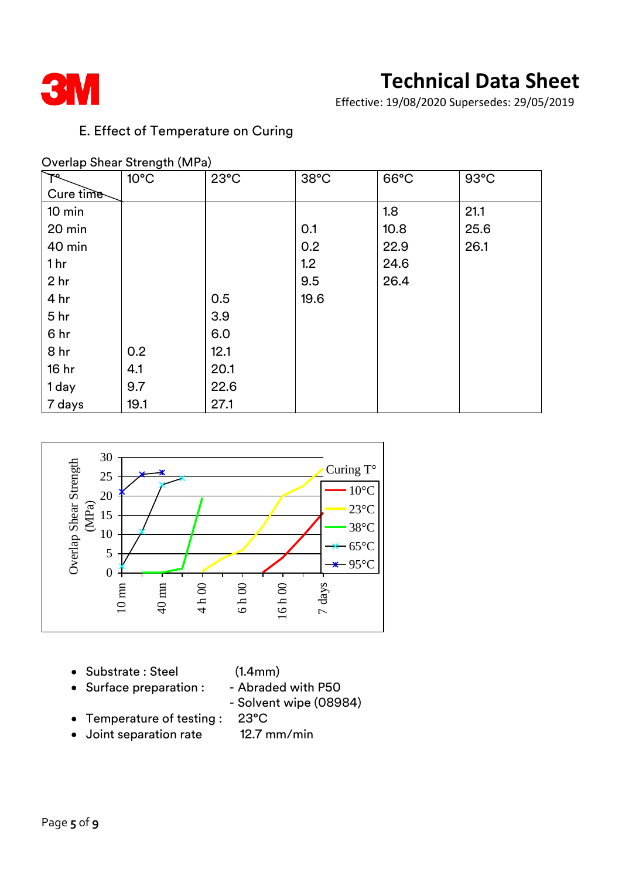

Effective: 19/08/2020 Supersedes: 29/05/2019

## E. Effect of Temperature on Curing

### Overlap Shear Strength (MPa)

|                  | $10^{\circ}$ C | $23^{\circ}$ C | $38^{\circ}$ C | $66^{\circ}$ C | $93^{\circ}$ C |
|------------------|----------------|----------------|----------------|----------------|----------------|
| Cure time        |                |                |                |                |                |
| $10 \text{ min}$ |                |                |                | 1.8            | 21.1           |
| 20 min           |                |                | 0.1            | 10.8           | 25.6           |
| 40 min           |                |                | 0.2            | 22.9           | 26.1           |
| 1 <sub>hr</sub>  |                |                | 1.2            | 24.6           |                |
| 2 <sub>hr</sub>  |                |                | 9.5            | 26.4           |                |
| 4 hr             |                | 0.5            | 19.6           |                |                |
| 5 <sub>hr</sub>  |                | 3.9            |                |                |                |
| 6 hr             |                | 6.0            |                |                |                |
| 8 hr             | 0.2            | 12.1           |                |                |                |
| 16 hr            | 4.1            | 20.1           |                |                |                |
| 1 day            | 9.7            | 22.6           |                |                |                |
| 7 days           | 19.1           | 27.1           |                |                |                |



- Substrate : Steel (1.4mm)
- Surface preparation : Abraded with P50

- Solvent wipe (08984)

- Temperature of testing : 23°C
- Joint separation rate 12.7 mm/min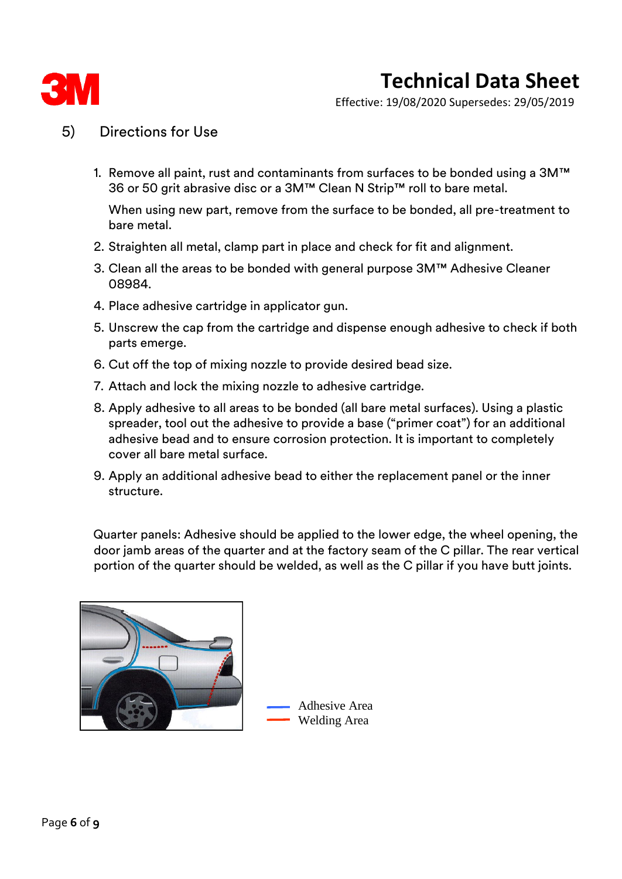

Effective: 19/08/2020 Supersedes: 29/05/2019

## 5) Directions for Use

1. Remove all paint, rust and contaminants from surfaces to be bonded using a 3M™ 36 or 50 grit abrasive disc or a 3M™ Clean N Strip™ roll to bare metal.

When using new part, remove from the surface to be bonded, all pre-treatment to bare metal.

- 2. Straighten all metal, clamp part in place and check for fit and alignment.
- 3. Clean all the areas to be bonded with general purpose 3M™ Adhesive Cleaner 08984.
- 4. Place adhesive cartridge in applicator gun.
- 5. Unscrew the cap from the cartridge and dispense enough adhesive to check if both parts emerge.
- 6. Cut off the top of mixing nozzle to provide desired bead size.
- 7. Attach and lock the mixing nozzle to adhesive cartridge.
- 8. Apply adhesive to all areas to be bonded (all bare metal surfaces). Using a plastic spreader, tool out the adhesive to provide a base ("primer coat") for an additional adhesive bead and to ensure corrosion protection. It is important to completely cover all bare metal surface.
- 9. Apply an additional adhesive bead to either the replacement panel or the inner structure.

Quarter panels: Adhesive should be applied to the lower edge, the wheel opening, the door jamb areas of the quarter and at the factory seam of the C pillar. The rear vertical portion of the quarter should be welded, as well as the C pillar if you have butt joints.



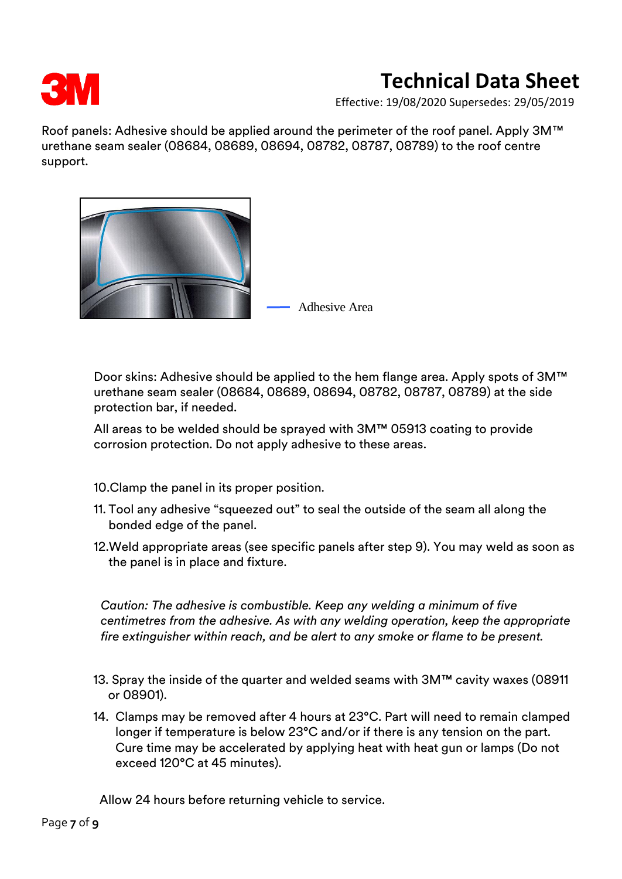

Effective: 19/08/2020 Supersedes: 29/05/2019

Roof panels: Adhesive should be applied around the perimeter of the roof panel. Apply 3M™ urethane seam sealer (08684, 08689, 08694, 08782, 08787, 08789) to the roof centre support.



Door skins: Adhesive should be applied to the hem flange area. Apply spots of 3M™ urethane seam sealer (08684, 08689, 08694, 08782, 08787, 08789) at the side protection bar, if needed.

All areas to be welded should be sprayed with 3M™ 05913 coating to provide corrosion protection. Do not apply adhesive to these areas.

- 10.Clamp the panel in its proper position.
- 11. Tool any adhesive "squeezed out" to seal the outside of the seam all along the bonded edge of the panel.
- 12.Weld appropriate areas (see specific panels after step 9). You may weld as soon as the panel is in place and fixture.

*Caution: The adhesive is combustible. Keep any welding a minimum of five centimetres from the adhesive. As with any welding operation, keep the appropriate fire extinguisher within reach, and be alert to any smoke or flame to be present.*

- 13. Spray the inside of the quarter and welded seams with 3M™ cavity waxes (08911 or 08901).
- 14. Clamps may be removed after 4 hours at 23°C. Part will need to remain clamped longer if temperature is below 23°C and/or if there is any tension on the part. Cure time may be accelerated by applying heat with heat gun or lamps (Do not exceed 120°C at 45 minutes).

Allow 24 hours before returning vehicle to service.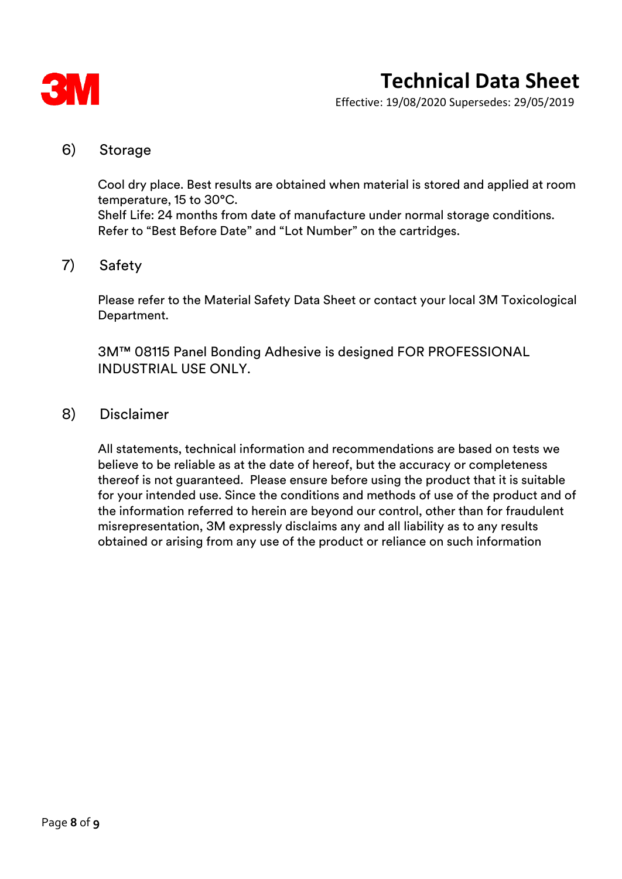

Effective: 19/08/2020 Supersedes: 29/05/2019

### 6) Storage

Cool dry place. Best results are obtained when material is stored and applied at room temperature, 15 to 30°C. Shelf Life: 24 months from date of manufacture under normal storage conditions. Refer to "Best Before Date" and "Lot Number" on the cartridges.

## 7) Safety

Please refer to the Material Safety Data Sheet or contact your local 3M Toxicological Department.

3M™ 08115 Panel Bonding Adhesive is designed FOR PROFESSIONAL INDUSTRIAL USE ONLY.

### 8) Disclaimer

All statements, technical information and recommendations are based on tests we believe to be reliable as at the date of hereof, but the accuracy or completeness thereof is not guaranteed. Please ensure before using the product that it is suitable for your intended use. Since the conditions and methods of use of the product and of the information referred to herein are beyond our control, other than for fraudulent misrepresentation, 3M expressly disclaims any and all liability as to any results obtained or arising from any use of the product or reliance on such information